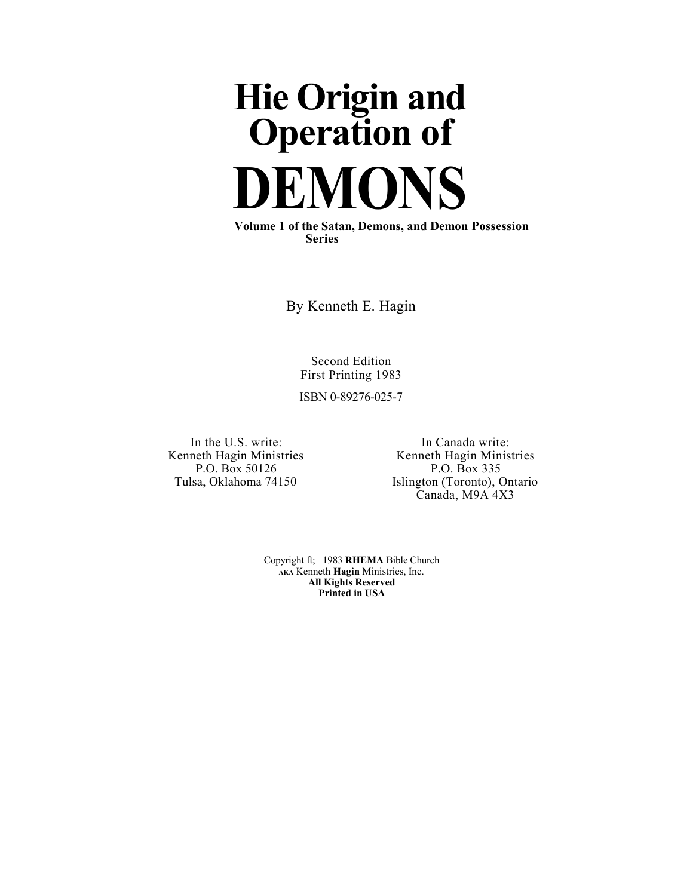# **Hie Origin and Operation of DEMONS Volume 1 of the Satan, Demons, and Demon Possession**

**Series**

By Kenneth E. Hagin

Second Edition First Printing 1983

ISBN 0-89276-025-7

Kenneth Hagin Ministries

In the U.S. write:<br> **In Canada write:**<br> **In Canada write:**<br> **In Canada write:**<br> **In Canada write:** P.O. Box 50126 P.O. Box 335 Tulsa, Oklahoma 74150 Islington (Toronto), Ontario Canada, M9A 4X3

> Copyright ft; 1983 **RHEMA** Bible Church **AKA** Kenneth **Hagin** Ministries, Inc. **All Kights Reserved Printed in USA**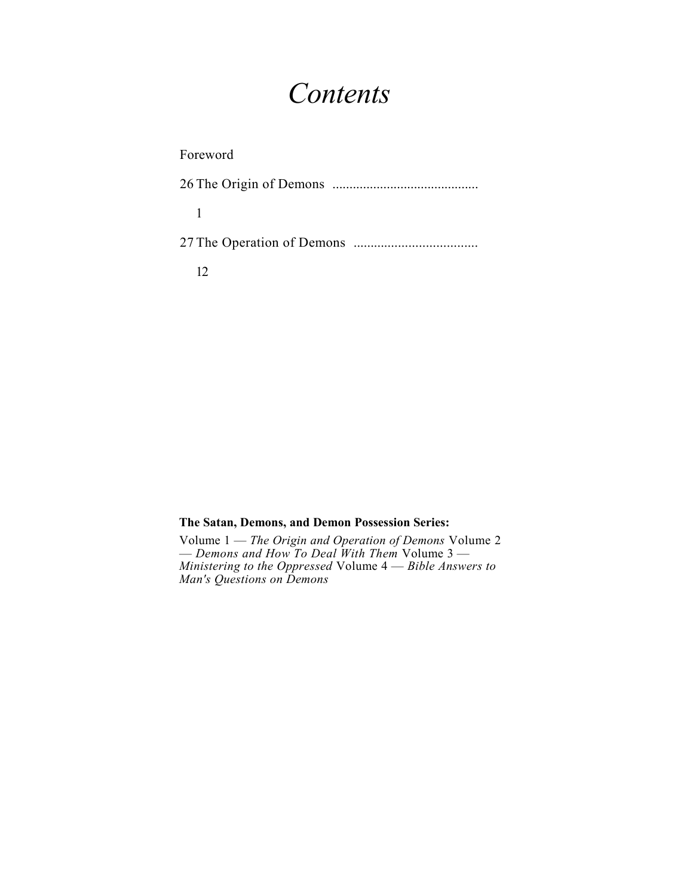# *Contents*

Foreword 26 The Origin of Demons ........................................... 1 27 The Operation of Demons .................................... 12

#### **The Satan, Demons, and Demon Possession Series:**

Volume 1 — *The Origin and Operation of Demons* Volume 2 — *Demons and How To Deal With Them* Volume 3 — *Ministering to the Oppressed* Volume 4 — *Bible Answers to Man's Questions on Demons*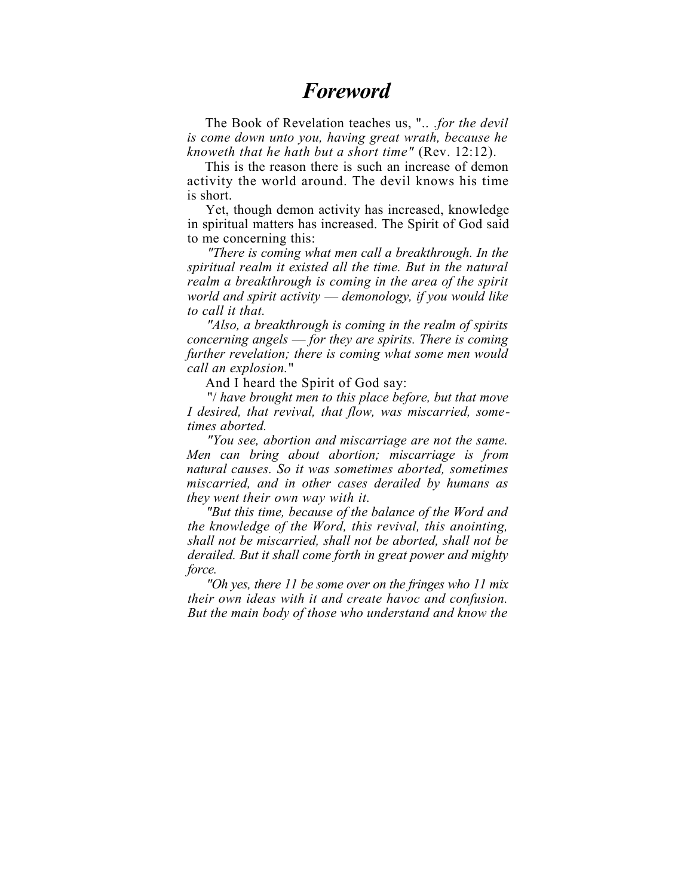### *Foreword*

The Book of Revelation teaches us, ".. *.for the devil is come down unto you, having great wrath, because he knoweth that he hath but a short time"* (Rev. 12:12).

This is the reason there is such an increase of demon activity the world around. The devil knows his time is short.

Yet, though demon activity has increased, knowledge in spiritual matters has increased. The Spirit of God said to me concerning this:

*"There is coming what men call a breakthrough. In the spiritual realm it existed all the time. But in the natural realm a breakthrough is coming in the area of the spirit world and spirit activity* — *demonology, if you would like to call it that.*

*"Also, a breakthrough is coming in the realm of spirits concerning angels* — *for they are spirits. There is coming further revelation; there is coming what some men would call an explosion.*"

And I heard the Spirit of God say:

"/ *have brought men to this place before, but that move I desired, that revival, that flow, was miscarried, sometimes aborted.*

*"You see, abortion and miscarriage are not the same. Men can bring about abortion; miscarriage is from natural causes. So it was sometimes aborted, sometimes miscarried, and in other cases derailed by humans as they went their own way with it.*

*"But this time, because of the balance of the Word and the knowledge of the Word, this revival, this anointing, shall not be miscarried, shall not be aborted, shall not be derailed. But it shall come forth in great power and mighty force.*

*"Oh yes, there 11 be some over on the fringes who 11 mix their own ideas with it and create havoc and confusion. But the main body of those who understand and know the*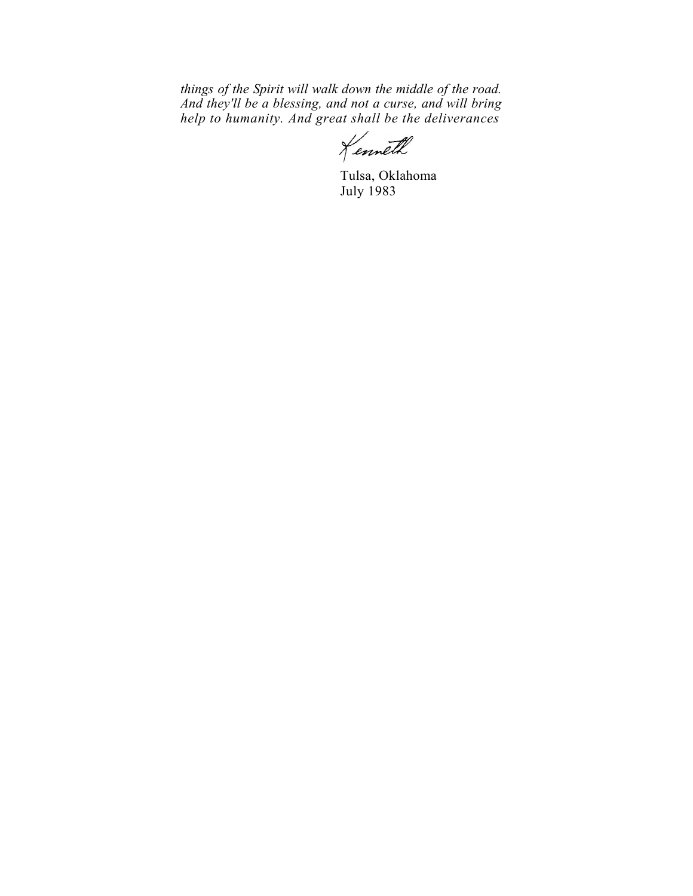*things of the Spirit will walk down the middle of the road. And they'll be a blessing, and not a curse, and will bring help to humanity. And great shall be the deliverances*

Kenneth

Tulsa, Oklahoma July 1983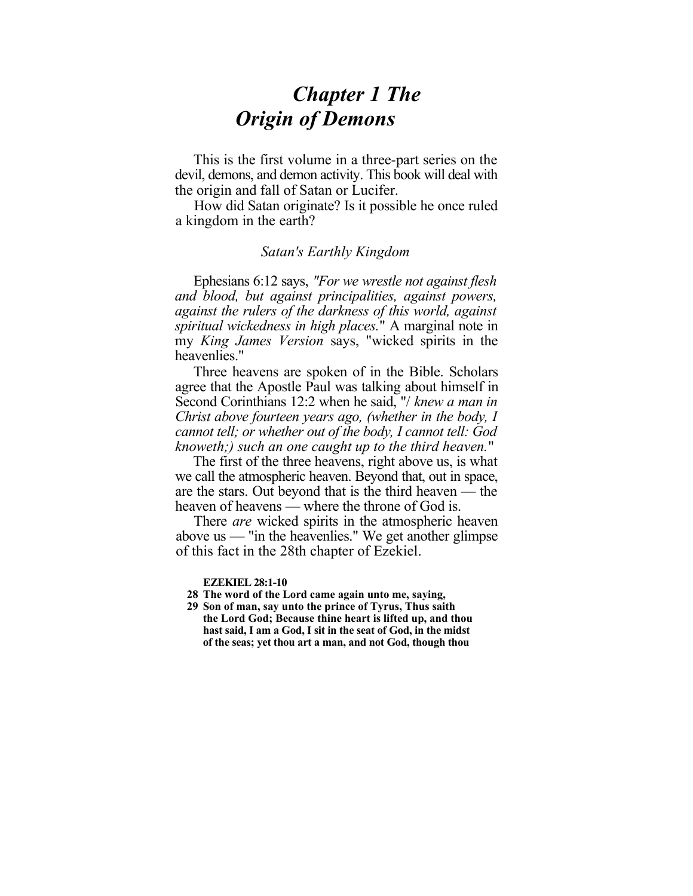## *Chapter 1 The Origin of Demons*

This is the first volume in a three-part series on the devil, demons, and demon activity. This book will deal with the origin and fall of Satan or Lucifer.

How did Satan originate? Is it possible he once ruled a kingdom in the earth?

#### *Satan's Earthly Kingdom*

Ephesians 6:12 says, *"For we wrestle not against flesh and blood, but against principalities, against powers, against the rulers of the darkness of this world, against spiritual wickedness in high places.*" A marginal note in my *King James Version* says, "wicked spirits in the heavenlies."

Three heavens are spoken of in the Bible. Scholars agree that the Apostle Paul was talking about himself in Second Corinthians 12:2 when he said, "/ *knew a man in Christ above fourteen years ago, (whether in the body, I cannot tell; or whether out of the body, I cannot tell: God knoweth;) such an one caught up to the third heaven.*"

The first of the three heavens, right above us, is what we call the atmospheric heaven. Beyond that, out in space, are the stars. Out beyond that is the third heaven — the heaven of heavens — where the throne of God is.

There *are* wicked spirits in the atmospheric heaven above us — "in the heavenlies." We get another glimpse of this fact in the 28th chapter of Ezekiel.

**EZEKIEL 28:1-10**

- **28 The word of the Lord came again unto me, saying,**
- **29 Son of man, say unto the prince of Tyrus, Thus saith the Lord God; Because thine heart is lifted up, and thou hast said, I am a God, I sit in the seat of God, in the midst of the seas; yet thou art a man, and not God, though thou**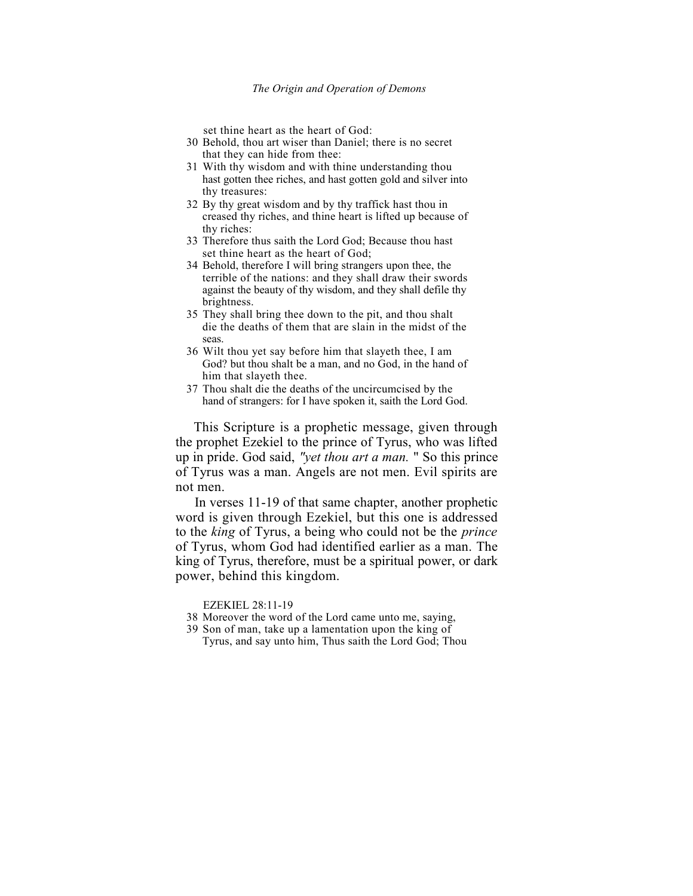#### *The Origin and Operation of Demons*

set thine heart as the heart of God:

- 30 Behold, thou art wiser than Daniel; there is no secret that they can hide from thee:
- 31 With thy wisdom and with thine understanding thou hast gotten thee riches, and hast gotten gold and silver into thy treasures:
- 32 By thy great wisdom and by thy traffick hast thou in creased thy riches, and thine heart is lifted up because of thy riches:
- 33 Therefore thus saith the Lord God; Because thou hast set thine heart as the heart of God;
- 34 Behold, therefore I will bring strangers upon thee, the terrible of the nations: and they shall draw their swords against the beauty of thy wisdom, and they shall defile thy brightness.
- 35 They shall bring thee down to the pit, and thou shalt die the deaths of them that are slain in the midst of the seas.
- 36 Wilt thou yet say before him that slayeth thee, I am God? but thou shalt be a man, and no God, in the hand of him that slayeth thee.
- 37 Thou shalt die the deaths of the uncircumcised by the hand of strangers: for I have spoken it, saith the Lord God.

This Scripture is a prophetic message, given through the prophet Ezekiel to the prince of Tyrus, who was lifted up in pride. God said, *"yet thou art a man.* " So this prince of Tyrus was a man. Angels are not men. Evil spirits are not men.

In verses 11-19 of that same chapter, another prophetic word is given through Ezekiel, but this one is addressed to the *king* of Tyrus, a being who could not be the *prince* of Tyrus, whom God had identified earlier as a man. The king of Tyrus, therefore, must be a spiritual power, or dark power, behind this kingdom.

EZEKIEL 28:11-19

- 38 Moreover the word of the Lord came unto me, saying,
- 39 Son of man, take up a lamentation upon the king of Tyrus, and say unto him, Thus saith the Lord God; Thou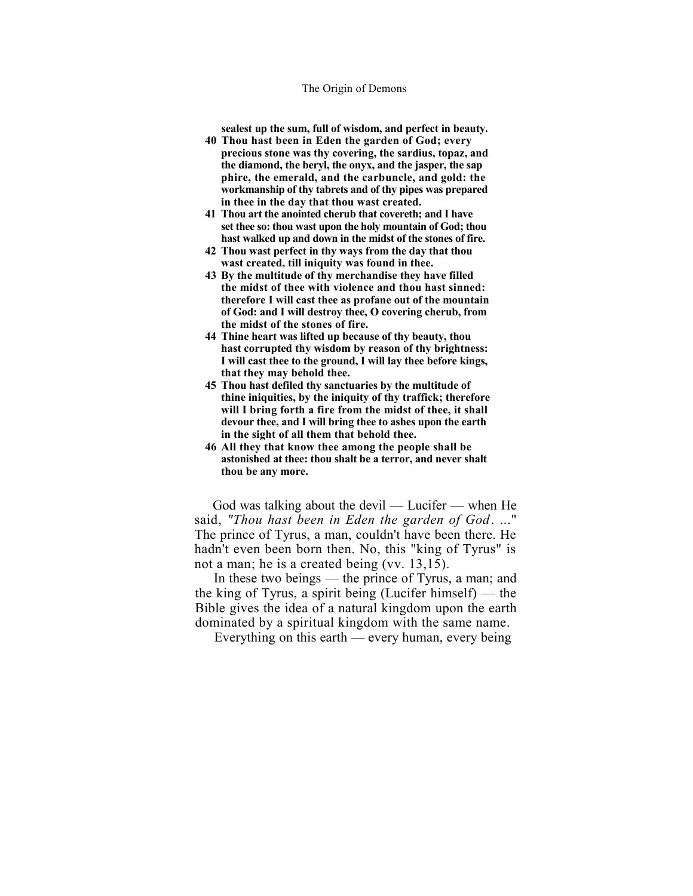#### The Origin of Demons

**sealest up the sum, full of wisdom, and perfect in beauty. 40 Thou hast been in Eden the garden of God; every precious stone was thy covering, the sardius, topaz, and the diamond, the beryl, the onyx, and the jasper, the sap phire, the emerald, and the carbuncle, and gold: the workmanship of thy tabrets and of thy pipes was prepared in thee in the day that thou wast created.**

- **41 Thou art the anointed cherub that covereth; and I have set thee so: thou wast upon the holy mountain of God; thou hast walked up and down in the midst of the stones of fire.**
- **42 Thou wast perfect in thy ways from the day that thou wast created, till iniquity was found in thee.**
- **43 By the multitude of thy merchandise they have filled the midst of thee with violence and thou hast sinned: therefore I will cast thee as profane out of the mountain of God: and I will destroy thee, O covering cherub, from the midst of the stones of fire.**
- **44 Thine heart was lifted up because of thy beauty, thou hast corrupted thy wisdom by reason of thy brightness: I will cast thee to the ground, I will lay thee before kings, that they may behold thee.**
- **45 Thou hast defiled thy sanctuaries by the multitude of thine iniquities, by the iniquity of thy traffick; therefore will I bring forth a fire from the midst of thee, it shall devour thee, and I will bring thee to ashes upon the earth in the sight of all them that behold thee.**
- **46 All they that know thee among the people shall be astonished at thee: thou shalt be a terror, and never shalt thou be any more.**

God was talking about the devil — Lucifer — when He said, *"Thou hast been in Eden the garden of God*. ..." The prince of Tyrus, a man, couldn't have been there. He hadn't even been born then. No, this "king of Tyrus" is not a man; he is a created being (vv. 13,15).

In these two beings — the prince of Tyrus, a man; and the king of Tyrus, a spirit being (Lucifer himself) — the Bible gives the idea of a natural kingdom upon the earth dominated by a spiritual kingdom with the same name.

Everything on this earth — every human, every being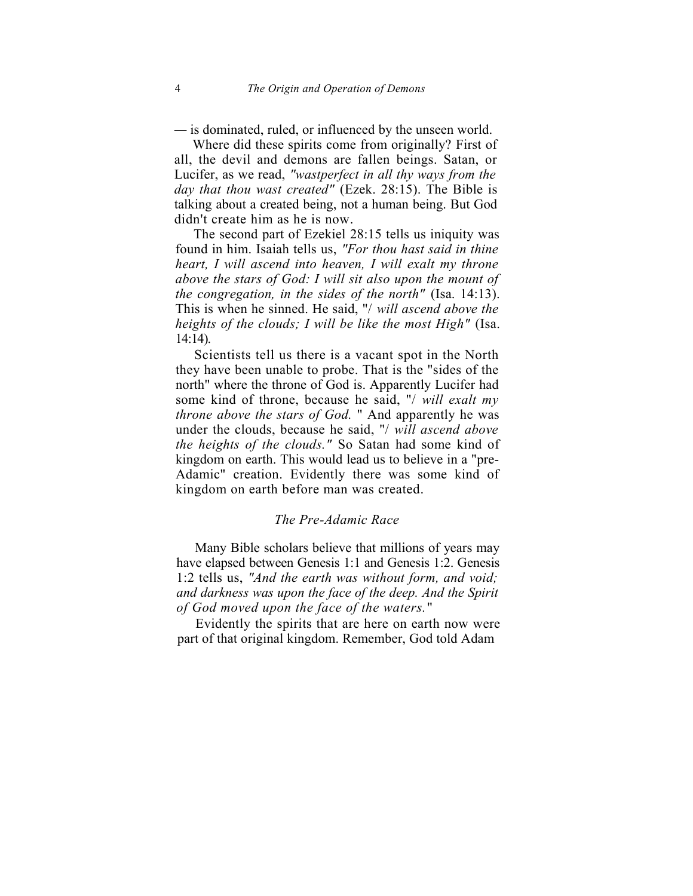*—* is dominated, ruled, or influenced by the unseen world.

Where did these spirits come from originally? First of all, the devil and demons are fallen beings. Satan, or Lucifer, as we read, *"wastperfect in all thy ways from the day that thou wast created"* (Ezek. 28:15). The Bible is talking about a created being, not a human being. But God didn't create him as he is now.

The second part of Ezekiel 28:15 tells us iniquity was found in him. Isaiah tells us, *"For thou hast said in thine heart, I will ascend into heaven, I will exalt my throne above the stars of God: I will sit also upon the mount of the congregation, in the sides of the north"* (Isa. 14:13). This is when he sinned. He said, "/ *will ascend above the heights of the clouds; I will be like the most High"* (Isa. 14:14).

Scientists tell us there is a vacant spot in the North they have been unable to probe. That is the "sides of the north" where the throne of God is. Apparently Lucifer had some kind of throne, because he said, "/ *will exalt my throne above the stars of God.* " And apparently he was under the clouds, because he said, "/ *will ascend above the heights of the clouds."* So Satan had some kind of kingdom on earth. This would lead us to believe in a "pre-Adamic" creation. Evidently there was some kind of kingdom on earth before man was created.

#### *The Pre-Adamic Race*

Many Bible scholars believe that millions of years may have elapsed between Genesis 1:1 and Genesis 1:2. Genesis 1:2 tells us, *"And the earth was without form, and void; and darkness was upon the face of the deep. And the Spirit of God moved upon the face of the waters.*"

Evidently the spirits that are here on earth now were part of that original kingdom. Remember, God told Adam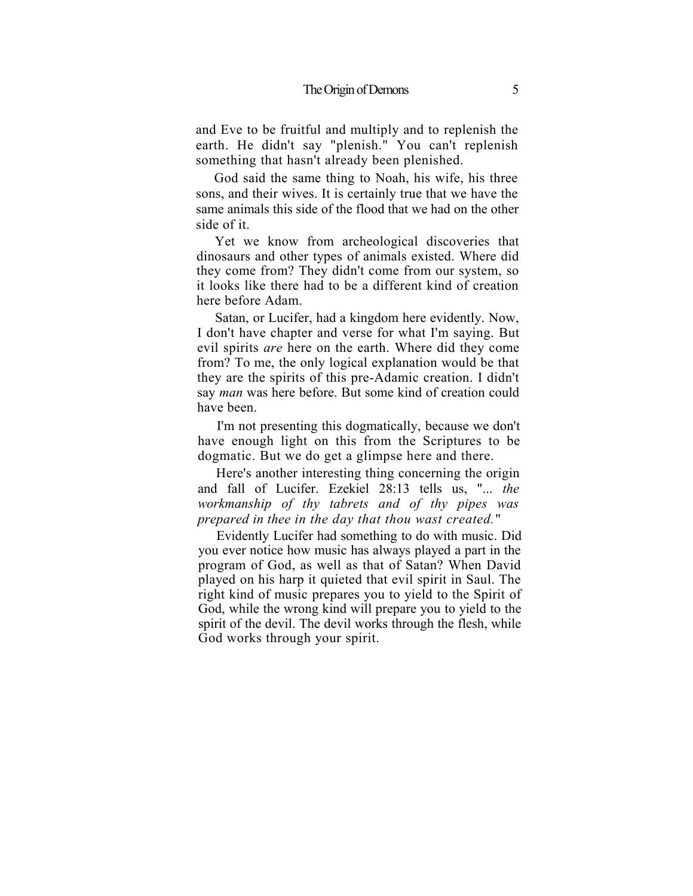and Eve to be fruitful and multiply and to replenish the earth. He didn't say "plenish." You can't replenish something that hasn't already been plenished.

God said the same thing to Noah, his wife, his three sons, and their wives. It is certainly true that we have the same animals this side of the flood that we had on the other side of it.

Yet we know from archeological discoveries that dinosaurs and other types of animals existed. Where did they come from? They didn't come from our system, so it looks like there had to be a different kind of creation here before Adam.

Satan, or Lucifer, had a kingdom here evidently. Now, I don't have chapter and verse for what I'm saying. But evil spirits *are* here on the earth. Where did they come from? To me, the only logical explanation would be that they are the spirits of this pre-Adamic creation. I didn't say *man* was here before. But some kind of creation could have been.

I'm not presenting this dogmatically, because we don't have enough light on this from the Scriptures to be dogmatic. But we do get a glimpse here and there.

Here's another interesting thing concerning the origin and fall of Lucifer. Ezekiel 28:13 tells us, "... *the workmanship of thy tabrets and of thy pipes was prepared in thee in the day that thou wast created.*"

Evidently Lucifer had something to do with music. Did you ever notice how music has always played a part in the program of God, as well as that of Satan? When David played on his harp it quieted that evil spirit in Saul. The right kind of music prepares you to yield to the Spirit of God, while the wrong kind will prepare you to yield to the spirit of the devil. The devil works through the flesh, while God works through your spirit.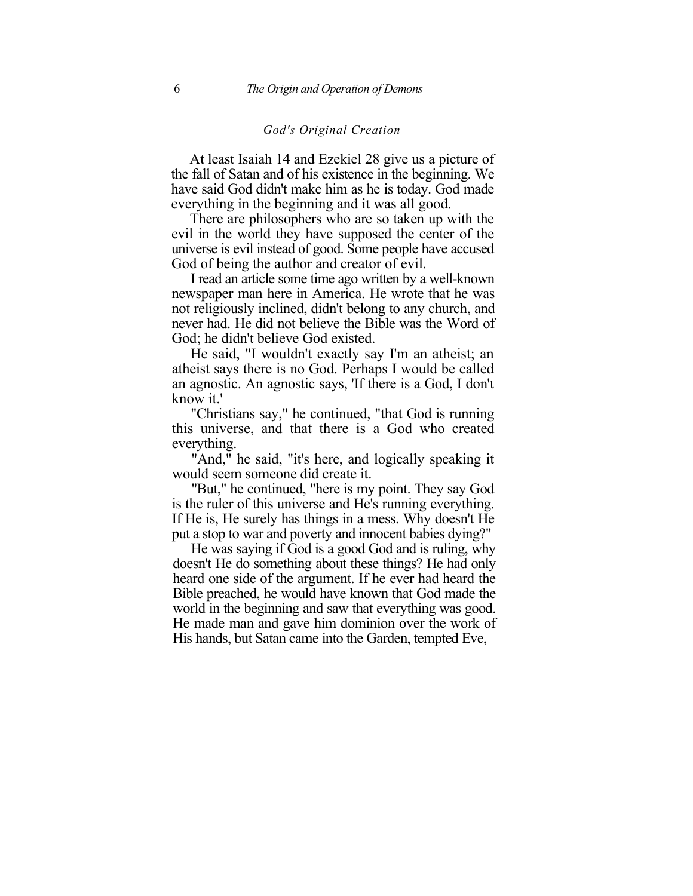#### *God's Original Creation*

At least Isaiah 14 and Ezekiel 28 give us a picture of the fall of Satan and of his existence in the beginning. We have said God didn't make him as he is today. God made everything in the beginning and it was all good.

There are philosophers who are so taken up with the evil in the world they have supposed the center of the universe is evil instead of good. Some people have accused God of being the author and creator of evil.

I read an article some time ago written by a well-known newspaper man here in America. He wrote that he was not religiously inclined, didn't belong to any church, and never had. He did not believe the Bible was the Word of God; he didn't believe God existed.

He said, "I wouldn't exactly say I'm an atheist; an atheist says there is no God. Perhaps I would be called an agnostic. An agnostic says, 'If there is a God, I don't know it.'

"Christians say," he continued, "that God is running this universe, and that there is a God who created everything.

"And," he said, "it's here, and logically speaking it would seem someone did create it.

"But," he continued, "here is my point. They say God is the ruler of this universe and He's running everything. If He is, He surely has things in a mess. Why doesn't He put a stop to war and poverty and innocent babies dying?"

He was saying if God is a good God and is ruling, why doesn't He do something about these things? He had only heard one side of the argument. If he ever had heard the Bible preached, he would have known that God made the world in the beginning and saw that everything was good. He made man and gave him dominion over the work of His hands, but Satan came into the Garden, tempted Eve,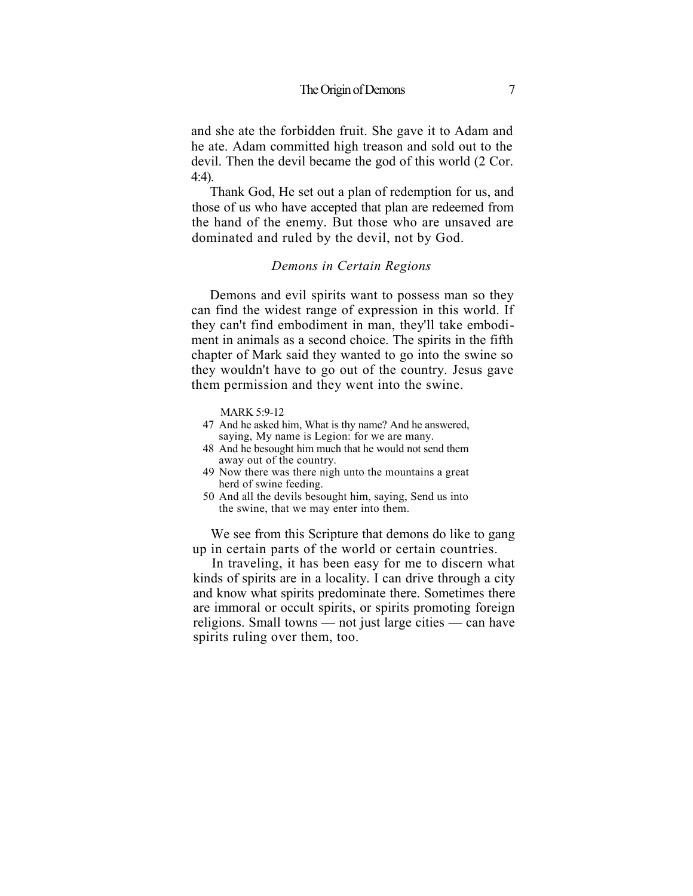and she ate the forbidden fruit. She gave it to Adam and he ate. Adam committed high treason and sold out to the devil. Then the devil became the god of this world (2 Cor. 4:4).

Thank God, He set out a plan of redemption for us, and those of us who have accepted that plan are redeemed from the hand of the enemy. But those who are unsaved are dominated and ruled by the devil, not by God.

#### *Demons in Certain Regions*

Demons and evil spirits want to possess man so they can find the widest range of expression in this world. If they can't find embodiment in man, they'll take embodiment in animals as a second choice. The spirits in the fifth chapter of Mark said they wanted to go into the swine so they wouldn't have to go out of the country. Jesus gave them permission and they went into the swine.

MARK 5:9-12

- 47 And he asked him, What is thy name? And he answered, saying, My name is Legion: for we are many.
- 48 And he besought him much that he would not send them away out of the country.
- 49 Now there was there nigh unto the mountains a great herd of swine feeding.
- 50 And all the devils besought him, saying, Send us into the swine, that we may enter into them.

We see from this Scripture that demons do like to gang up in certain parts of the world or certain countries.

In traveling, it has been easy for me to discern what kinds of spirits are in a locality. I can drive through a city and know what spirits predominate there. Sometimes there are immoral or occult spirits, or spirits promoting foreign religions. Small towns — not just large cities — can have spirits ruling over them, too.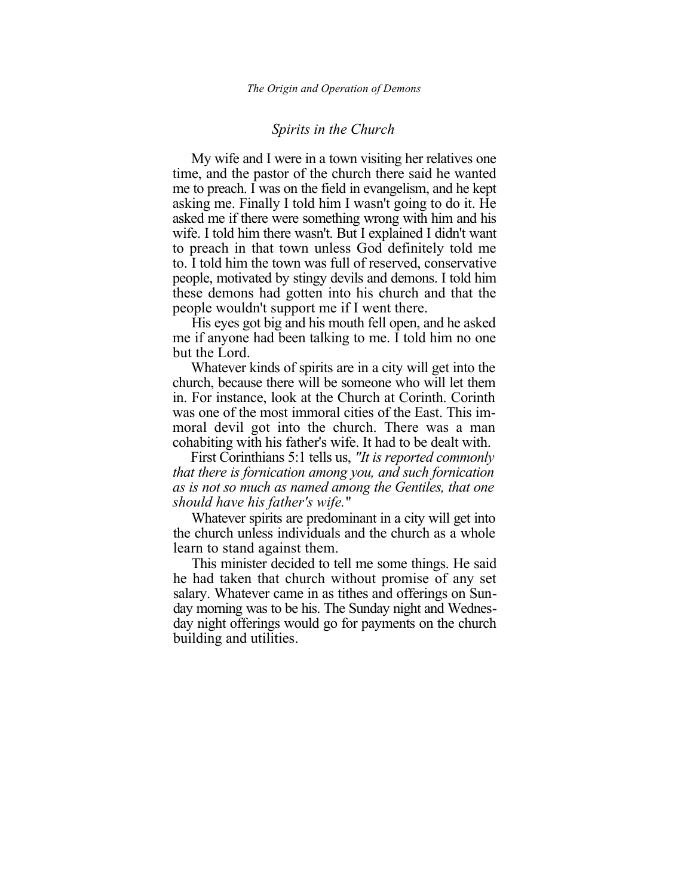#### *Spirits in the Church*

My wife and I were in a town visiting her relatives one time, and the pastor of the church there said he wanted me to preach. I was on the field in evangelism, and he kept asking me. Finally I told him I wasn't going to do it. He asked me if there were something wrong with him and his wife. I told him there wasn't. But I explained I didn't want to preach in that town unless God definitely told me to. I told him the town was full of reserved, conservative people, motivated by stingy devils and demons. I told him these demons had gotten into his church and that the people wouldn't support me if I went there.

His eyes got big and his mouth fell open, and he asked me if anyone had been talking to me. I told him no one but the Lord.

Whatever kinds of spirits are in a city will get into the church, because there will be someone who will let them in. For instance, look at the Church at Corinth. Corinth was one of the most immoral cities of the East. This immoral devil got into the church. There was a man cohabiting with his father's wife. It had to be dealt with.

First Corinthians 5:1 tells us, *"It is reported commonly that there is fornication among you, and such fornication as is not so much as named among the Gentiles, that one should have his father's wife.*"

Whatever spirits are predominant in a city will get into the church unless individuals and the church as a whole learn to stand against them.

This minister decided to tell me some things. He said he had taken that church without promise of any set salary. Whatever came in as tithes and offerings on Sunday morning was to be his. The Sunday night and Wednesday night offerings would go for payments on the church building and utilities.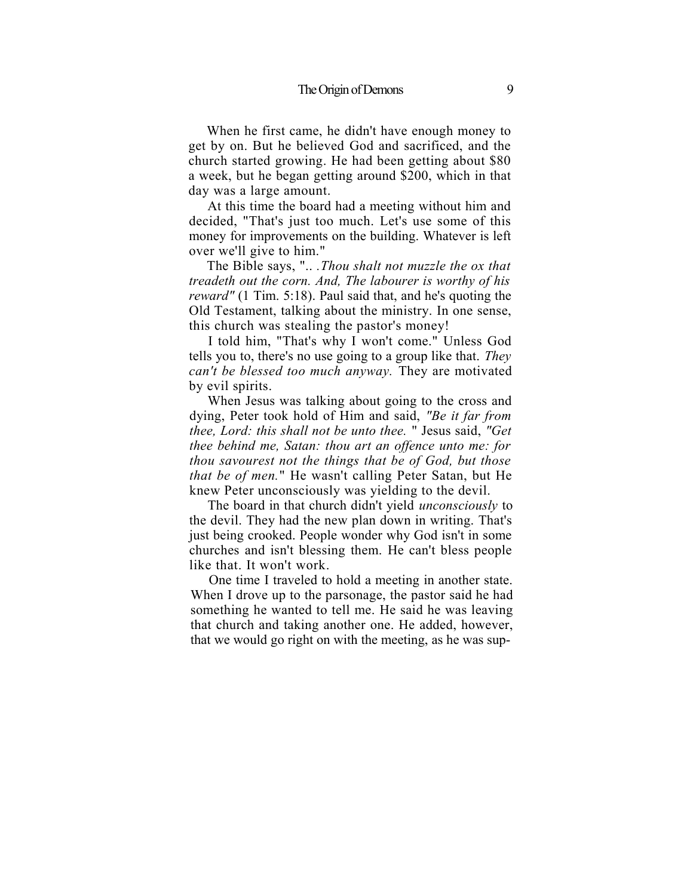When he first came, he didn't have enough money to get by on. But he believed God and sacrificed, and the church started growing. He had been getting about \$80 a week, but he began getting around \$200, which in that day was a large amount.

At this time the board had a meeting without him and decided, "That's just too much. Let's use some of this money for improvements on the building. Whatever is left over we'll give to him."

The Bible says, ".. *.Thou shalt not muzzle the ox that treadeth out the corn. And, The labourer is worthy of his reward"* (1 Tim. 5:18). Paul said that, and he's quoting the Old Testament, talking about the ministry. In one sense, this church was stealing the pastor's money!

I told him, "That's why I won't come." Unless God tells you to, there's no use going to a group like that. *They can't be blessed too much anyway.* They are motivated by evil spirits.

When Jesus was talking about going to the cross and dying, Peter took hold of Him and said, *"Be it far from thee, Lord: this shall not be unto thee.* " Jesus said, *"Get thee behind me, Satan: thou art an offence unto me: for thou savourest not the things that be of God, but those that be of men.*" He wasn't calling Peter Satan, but He knew Peter unconsciously was yielding to the devil.

The board in that church didn't yield *unconsciously* to the devil. They had the new plan down in writing. That's just being crooked. People wonder why God isn't in some churches and isn't blessing them. He can't bless people like that. It won't work.

One time I traveled to hold a meeting in another state. When I drove up to the parsonage, the pastor said he had something he wanted to tell me. He said he was leaving that church and taking another one. He added, however, that we would go right on with the meeting, as he was sup-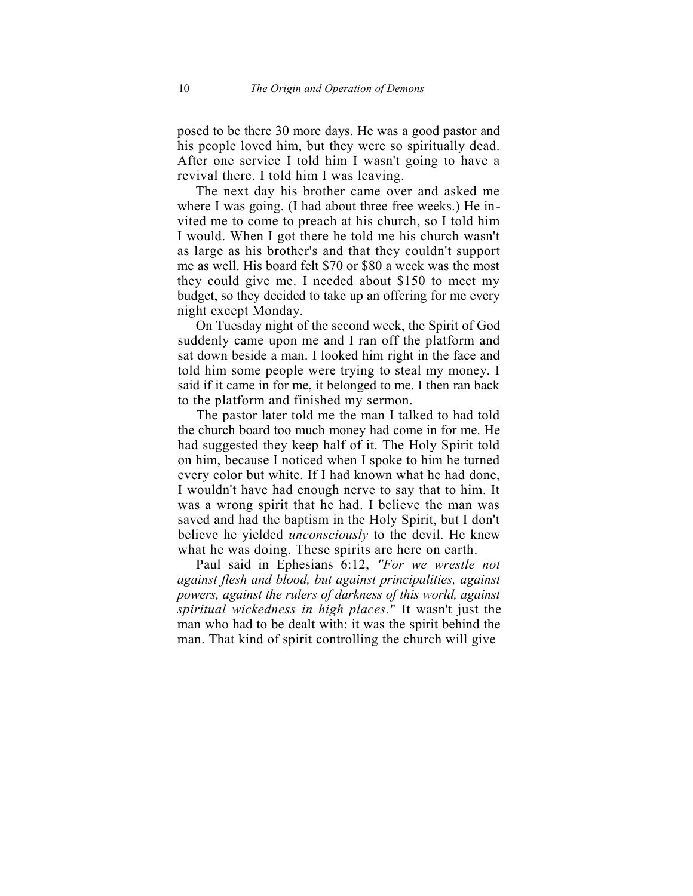posed to be there 30 more days. He was a good pastor and his people loved him, but they were so spiritually dead. After one service I told him I wasn't going to have a revival there. I told him I was leaving.

The next day his brother came over and asked me where I was going. (I had about three free weeks.) He invited me to come to preach at his church, so I told him I would. When I got there he told me his church wasn't as large as his brother's and that they couldn't support me as well. His board felt \$70 or \$80 a week was the most they could give me. I needed about \$150 to meet my budget, so they decided to take up an offering for me every night except Monday.

On Tuesday night of the second week, the Spirit of God suddenly came upon me and I ran off the platform and sat down beside a man. I looked him right in the face and told him some people were trying to steal my money. I said if it came in for me, it belonged to me. I then ran back to the platform and finished my sermon.

The pastor later told me the man I talked to had told the church board too much money had come in for me. He had suggested they keep half of it. The Holy Spirit told on him, because I noticed when I spoke to him he turned every color but white. If I had known what he had done, I wouldn't have had enough nerve to say that to him. It was a wrong spirit that he had. I believe the man was saved and had the baptism in the Holy Spirit, but I don't believe he yielded *unconsciously* to the devil. He knew what he was doing. These spirits are here on earth.

Paul said in Ephesians 6:12, *"For we wrestle not against flesh and blood, but against principalities, against powers, against the rulers of darkness of this world, against spiritual wickedness in high places.*" It wasn't just the man who had to be dealt with; it was the spirit behind the man. That kind of spirit controlling the church will give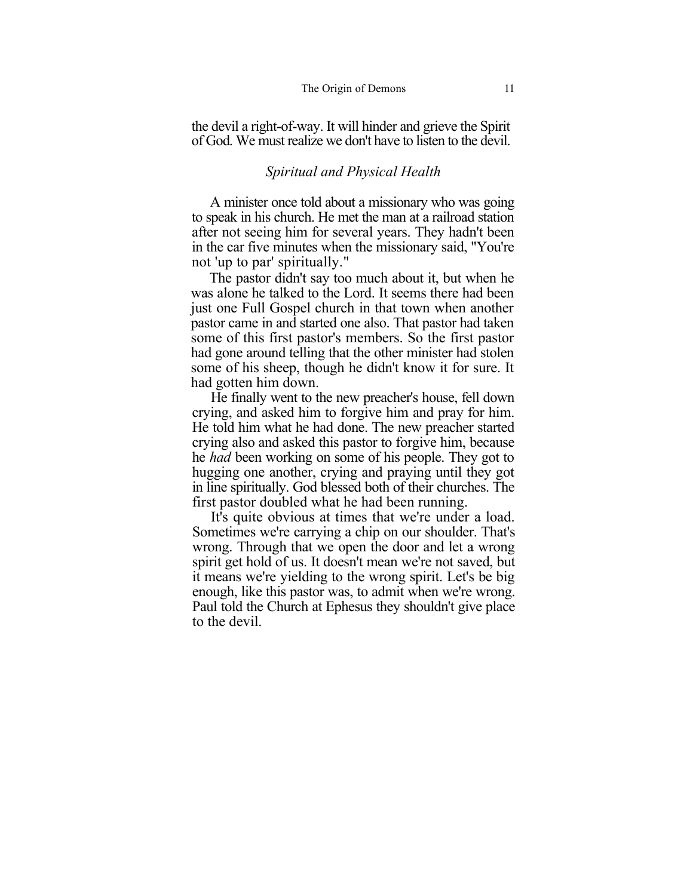the devil a right-of-way. It will hinder and grieve the Spirit of God. We must realize we don't have to listen to the devil.

#### *Spiritual and Physical Health*

A minister once told about a missionary who was going to speak in his church. He met the man at a railroad station after not seeing him for several years. They hadn't been in the car five minutes when the missionary said, "You're not 'up to par' spiritually."

The pastor didn't say too much about it, but when he was alone he talked to the Lord. It seems there had been just one Full Gospel church in that town when another pastor came in and started one also. That pastor had taken some of this first pastor's members. So the first pastor had gone around telling that the other minister had stolen some of his sheep, though he didn't know it for sure. It had gotten him down.

He finally went to the new preacher's house, fell down crying, and asked him to forgive him and pray for him. He told him what he had done. The new preacher started crying also and asked this pastor to forgive him, because he *had* been working on some of his people. They got to hugging one another, crying and praying until they got in line spiritually. God blessed both of their churches. The first pastor doubled what he had been running.

It's quite obvious at times that we're under a load. Sometimes we're carrying a chip on our shoulder. That's wrong. Through that we open the door and let a wrong spirit get hold of us. It doesn't mean we're not saved, but it means we're yielding to the wrong spirit. Let's be big enough, like this pastor was, to admit when we're wrong. Paul told the Church at Ephesus they shouldn't give place to the devil.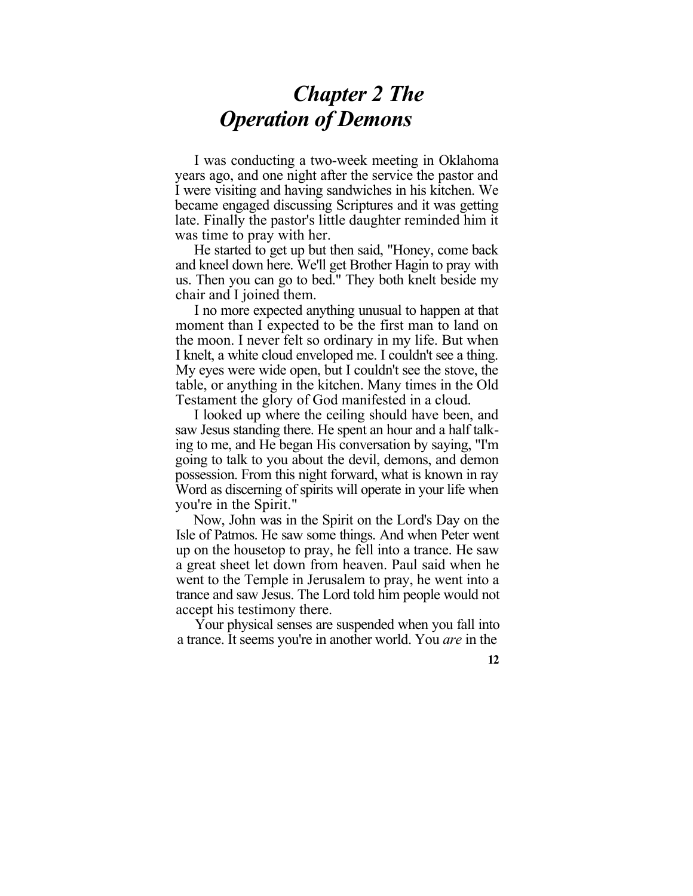# *Chapter 2 The Operation of Demons*

I was conducting a two-week meeting in Oklahoma years ago, and one night after the service the pastor and I were visiting and having sandwiches in his kitchen. We became engaged discussing Scriptures and it was getting late. Finally the pastor's little daughter reminded him it was time to pray with her.

He started to get up but then said, "Honey, come back and kneel down here. We'll get Brother Hagin to pray with us. Then you can go to bed." They both knelt beside my chair and I joined them.

I no more expected anything unusual to happen at that moment than I expected to be the first man to land on the moon. I never felt so ordinary in my life. But when I knelt, a white cloud enveloped me. I couldn't see a thing. My eyes were wide open, but I couldn't see the stove, the table, or anything in the kitchen. Many times in the Old Testament the glory of God manifested in a cloud.

I looked up where the ceiling should have been, and saw Jesus standing there. He spent an hour and a half talking to me, and He began His conversation by saying, "I'm going to talk to you about the devil, demons, and demon possession. From this night forward, what is known in ray Word as discerning of spirits will operate in your life when you're in the Spirit."

Now, John was in the Spirit on the Lord's Day on the Isle of Patmos. He saw some things. And when Peter went up on the housetop to pray, he fell into a trance. He saw a great sheet let down from heaven. Paul said when he went to the Temple in Jerusalem to pray, he went into a trance and saw Jesus. The Lord told him people would not accept his testimony there.

Your physical senses are suspended when you fall into a trance. It seems you're in another world. You *are* in the

**12**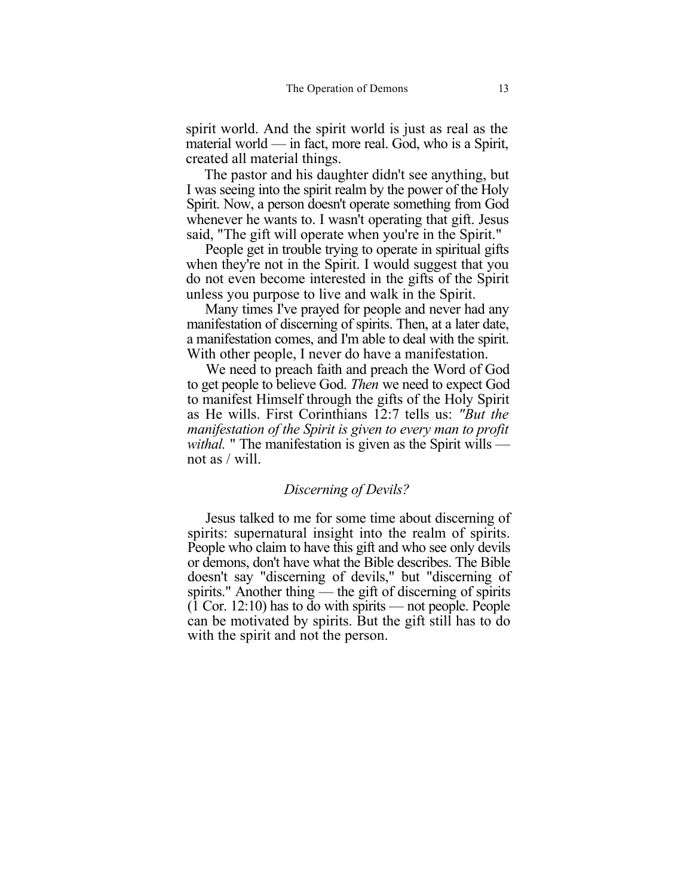spirit world. And the spirit world is just as real as the material world — in fact, more real. God, who is a Spirit, created all material things.

The pastor and his daughter didn't see anything, but I was seeing into the spirit realm by the power of the Holy Spirit. Now, a person doesn't operate something from God whenever he wants to. I wasn't operating that gift. Jesus said, "The gift will operate when you're in the Spirit."

People get in trouble trying to operate in spiritual gifts when they're not in the Spirit. I would suggest that you do not even become interested in the gifts of the Spirit unless you purpose to live and walk in the Spirit.

Many times I've prayed for people and never had any manifestation of discerning of spirits. Then, at a later date, a manifestation comes, and I'm able to deal with the spirit. With other people, I never do have a manifestation.

We need to preach faith and preach the Word of God to get people to believe God. *Then* we need to expect God to manifest Himself through the gifts of the Holy Spirit as He wills. First Corinthians 12:7 tells us: *"But the manifestation of the Spirit is given to every man to profit withal.* " The manifestation is given as the Spirit wills not as / will.

#### *Discerning of Devils?*

Jesus talked to me for some time about discerning of spirits: supernatural insight into the realm of spirits. People who claim to have this gift and who see only devils or demons, don't have what the Bible describes. The Bible doesn't say "discerning of devils," but "discerning of spirits." Another thing — the gift of discerning of spirits (1 Cor. 12:10) has to do with spirits — not people. People can be motivated by spirits. But the gift still has to do with the spirit and not the person.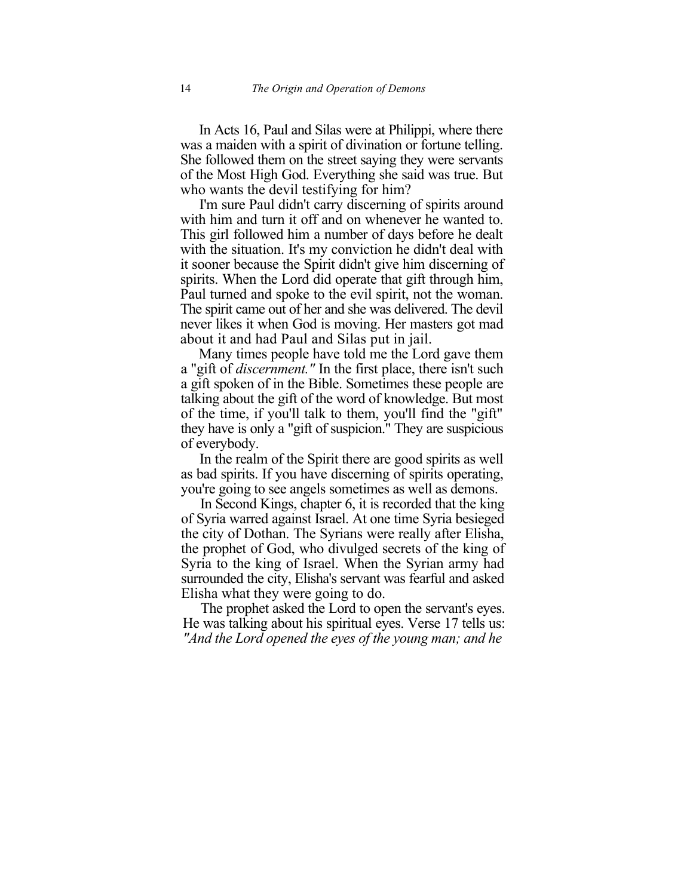In Acts 16, Paul and Silas were at Philippi, where there was a maiden with a spirit of divination or fortune telling. She followed them on the street saying they were servants of the Most High God. Everything she said was true. But who wants the devil testifying for him?

I'm sure Paul didn't carry discerning of spirits around with him and turn it off and on whenever he wanted to. This girl followed him a number of days before he dealt with the situation. It's my conviction he didn't deal with it sooner because the Spirit didn't give him discerning of spirits. When the Lord did operate that gift through him, Paul turned and spoke to the evil spirit, not the woman. The spirit came out of her and she was delivered. The devil never likes it when God is moving. Her masters got mad about it and had Paul and Silas put in jail.

Many times people have told me the Lord gave them a "gift of *discernment."* In the first place, there isn't such a gift spoken of in the Bible. Sometimes these people are talking about the gift of the word of knowledge. But most of the time, if you'll talk to them, you'll find the "gift" they have is only a "gift of suspicion." They are suspicious of everybody.

In the realm of the Spirit there are good spirits as well as bad spirits. If you have discerning of spirits operating, you're going to see angels sometimes as well as demons.

In Second Kings, chapter 6, it is recorded that the king of Syria warred against Israel. At one time Syria besieged the city of Dothan. The Syrians were really after Elisha, the prophet of God, who divulged secrets of the king of Syria to the king of Israel. When the Syrian army had surrounded the city, Elisha's servant was fearful and asked Elisha what they were going to do.

The prophet asked the Lord to open the servant's eyes. He was talking about his spiritual eyes. Verse 17 tells us: *"And the Lord opened the eyes of the young man; and he*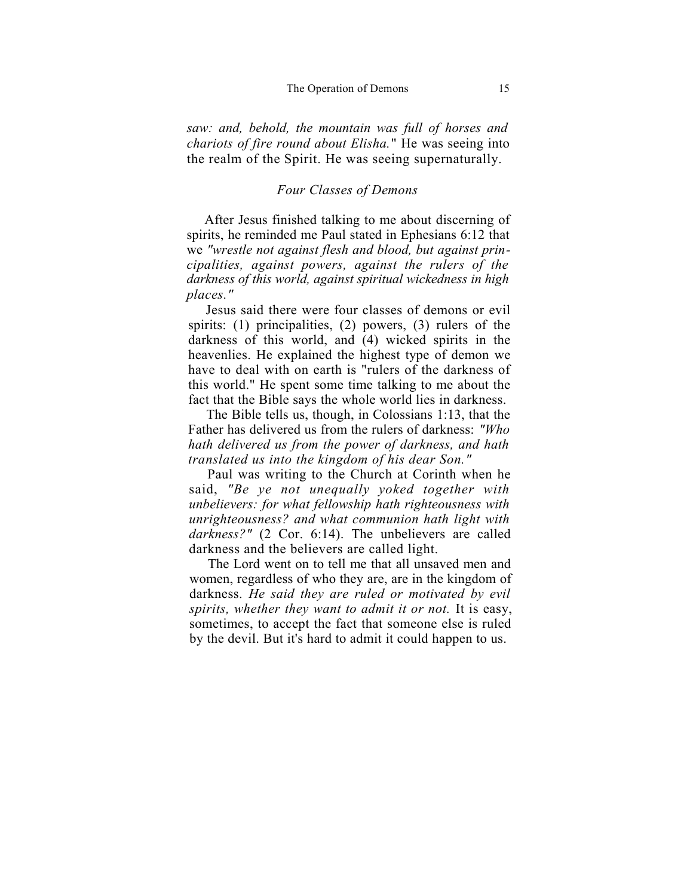*saw: and, behold, the mountain was full of horses and chariots of fire round about Elisha.*" He was seeing into the realm of the Spirit. He was seeing supernaturally.

#### *Four Classes of Demons*

After Jesus finished talking to me about discerning of spirits, he reminded me Paul stated in Ephesians 6:12 that we *"wrestle not against flesh and blood, but against principalities, against powers, against the rulers of the darkness of this world, against spiritual wickedness in high places."*

Jesus said there were four classes of demons or evil spirits: (1) principalities, (2) powers, (3) rulers of the darkness of this world, and (4) wicked spirits in the heavenlies. He explained the highest type of demon we have to deal with on earth is "rulers of the darkness of this world." He spent some time talking to me about the fact that the Bible says the whole world lies in darkness.

The Bible tells us, though, in Colossians 1:13, that the Father has delivered us from the rulers of darkness: *"Who hath delivered us from the power of darkness, and hath translated us into the kingdom of his dear Son."*

Paul was writing to the Church at Corinth when he said, *"Be ye not unequally yoked together with unbelievers: for what fellowship hath righteousness with unrighteousness? and what communion hath light with* darkness?" (2 Cor. 6:14). The unbelievers are called darkness and the believers are called light.

The Lord went on to tell me that all unsaved men and women, regardless of who they are, are in the kingdom of darkness. *He said they are ruled or motivated by evil spirits, whether they want to admit it or not.* It is easy, sometimes, to accept the fact that someone else is ruled by the devil. But it's hard to admit it could happen to us.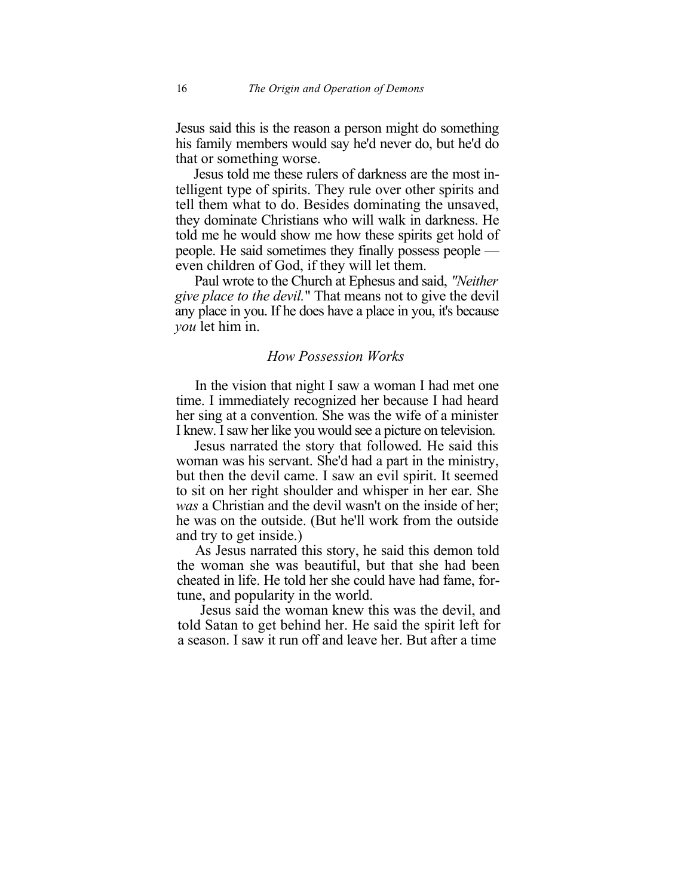Jesus said this is the reason a person might do something his family members would say he'd never do, but he'd do that or something worse.

Jesus told me these rulers of darkness are the most intelligent type of spirits. They rule over other spirits and tell them what to do. Besides dominating the unsaved, they dominate Christians who will walk in darkness. He told me he would show me how these spirits get hold of people. He said sometimes they finally possess people even children of God, if they will let them.

Paul wrote to the Church at Ephesus and said, *"Neither give place to the devil.*" That means not to give the devil any place in you. If he does have a place in you, it's because *you* let him in.

#### *How Possession Works*

In the vision that night I saw a woman I had met one time. I immediately recognized her because I had heard her sing at a convention. She was the wife of a minister I knew. I saw her like you would see a picture on television.

Jesus narrated the story that followed. He said this woman was his servant. She'd had a part in the ministry, but then the devil came. I saw an evil spirit. It seemed to sit on her right shoulder and whisper in her ear. She *was* a Christian and the devil wasn't on the inside of her; he was on the outside. (But he'll work from the outside and try to get inside.)

As Jesus narrated this story, he said this demon told the woman she was beautiful, but that she had been cheated in life. He told her she could have had fame, fortune, and popularity in the world.

Jesus said the woman knew this was the devil, and told Satan to get behind her. He said the spirit left for a season. I saw it run off and leave her. But after a time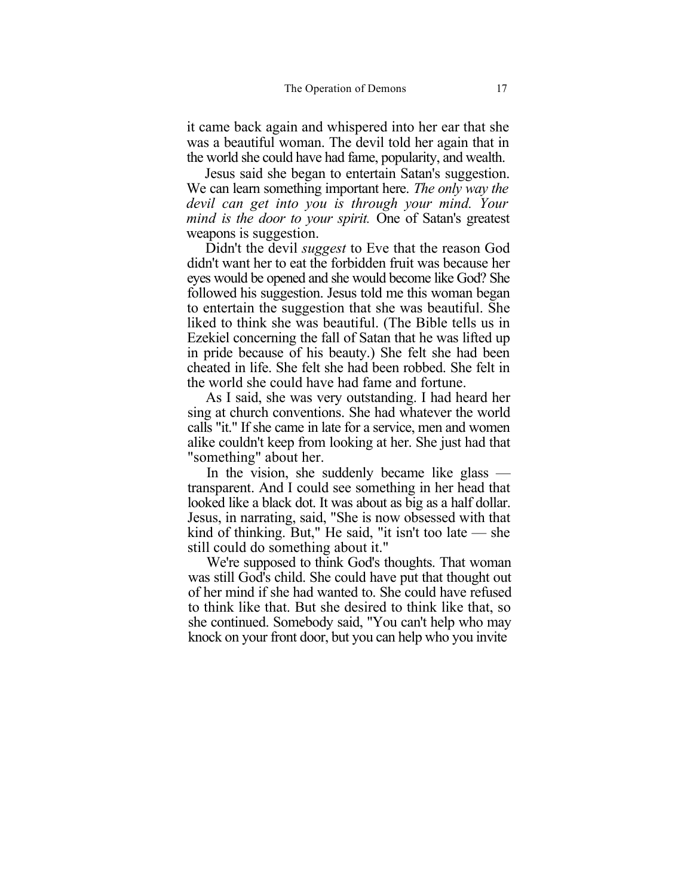it came back again and whispered into her ear that she was a beautiful woman. The devil told her again that in the world she could have had fame, popularity, and wealth.

Jesus said she began to entertain Satan's suggestion. We can learn something important here. *The only way the devil can get into you is through your mind. Your mind is the door to your spirit.* One of Satan's greatest weapons is suggestion.

Didn't the devil *suggest* to Eve that the reason God didn't want her to eat the forbidden fruit was because her eyes would be opened and she would become like God? She followed his suggestion. Jesus told me this woman began to entertain the suggestion that she was beautiful. She liked to think she was beautiful. (The Bible tells us in Ezekiel concerning the fall of Satan that he was lifted up in pride because of his beauty.) She felt she had been cheated in life. She felt she had been robbed. She felt in the world she could have had fame and fortune.

As I said, she was very outstanding. I had heard her sing at church conventions. She had whatever the world calls "it." If she came in late for a service, men and women alike couldn't keep from looking at her. She just had that "something" about her.

In the vision, she suddenly became like glass transparent. And I could see something in her head that looked like a black dot. It was about as big as a half dollar. Jesus, in narrating, said, "She is now obsessed with that kind of thinking. But," He said, "it isn't too late — she still could do something about it."

We're supposed to think God's thoughts. That woman was still God's child. She could have put that thought out of her mind if she had wanted to. She could have refused to think like that. But she desired to think like that, so she continued. Somebody said, "You can't help who may knock on your front door, but you can help who you invite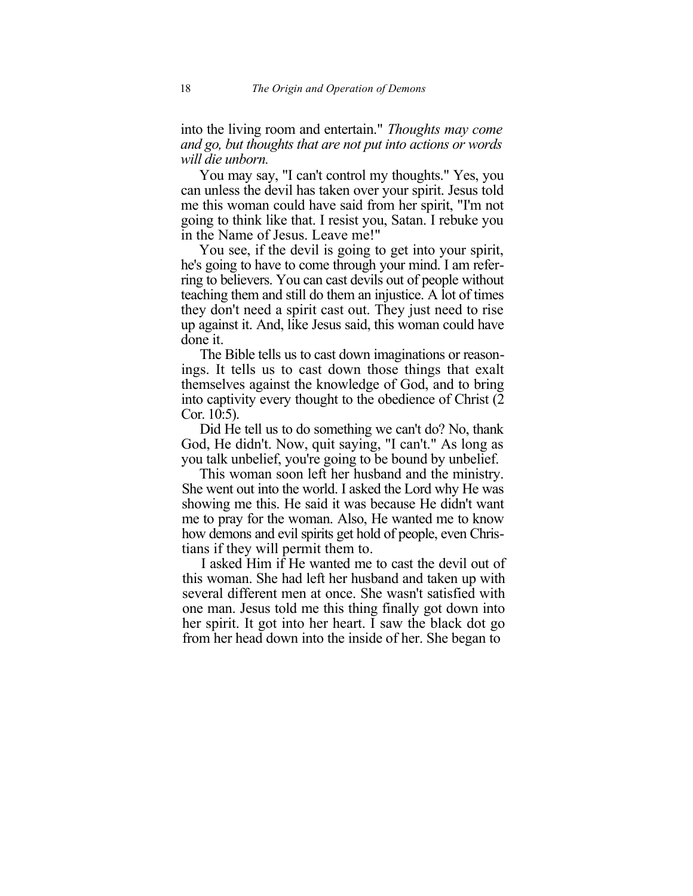into the living room and entertain." *Thoughts may come and go, but thoughts that are not put into actions or words will die unborn.*

You may say, "I can't control my thoughts." Yes, you can unless the devil has taken over your spirit. Jesus told me this woman could have said from her spirit, "I'm not going to think like that. I resist you, Satan. I rebuke you in the Name of Jesus. Leave me!"

You see, if the devil is going to get into your spirit, he's going to have to come through your mind. I am referring to believers. You can cast devils out of people without teaching them and still do them an injustice. A lot of times they don't need a spirit cast out. They just need to rise up against it. And, like Jesus said, this woman could have done it.

The Bible tells us to cast down imaginations or reasonings. It tells us to cast down those things that exalt themselves against the knowledge of God, and to bring into captivity every thought to the obedience of Christ (2 Cor. 10:5).

Did He tell us to do something we can't do? No, thank God, He didn't. Now, quit saying, "I can't." As long as you talk unbelief, you're going to be bound by unbelief.

This woman soon left her husband and the ministry. She went out into the world. I asked the Lord why He was showing me this. He said it was because He didn't want me to pray for the woman. Also, He wanted me to know how demons and evil spirits get hold of people, even Christians if they will permit them to.

I asked Him if He wanted me to cast the devil out of this woman. She had left her husband and taken up with several different men at once. She wasn't satisfied with one man. Jesus told me this thing finally got down into her spirit. It got into her heart. I saw the black dot go from her head down into the inside of her. She began to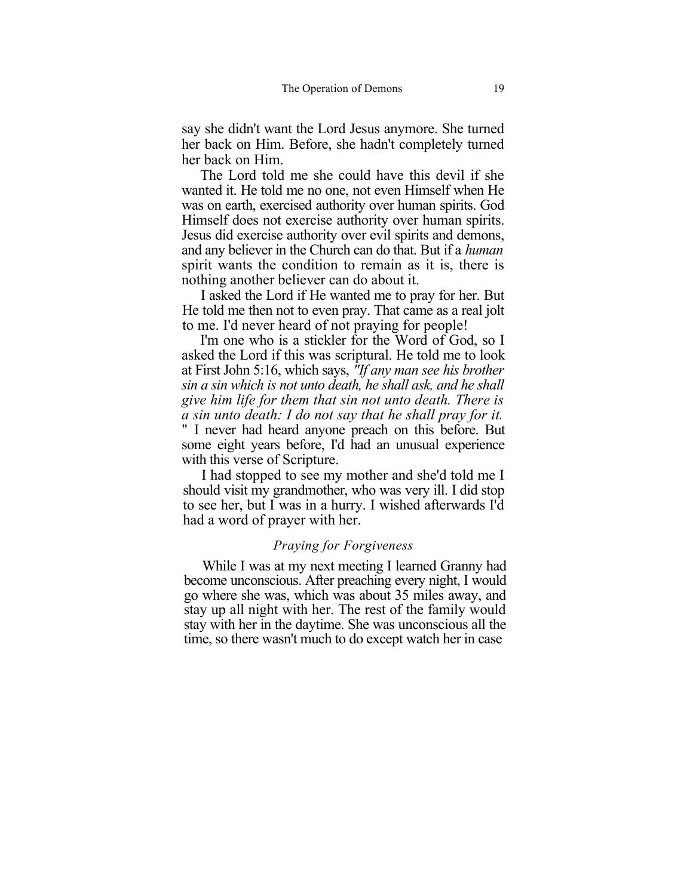say she didn't want the Lord Jesus anymore. She turned her back on Him. Before, she hadn't completely turned her back on Him.

The Lord told me she could have this devil if she wanted it. He told me no one, not even Himself when He was on earth, exercised authority over human spirits. God Himself does not exercise authority over human spirits. Jesus did exercise authority over evil spirits and demons, and any believer in the Church can do that. But if a *human* spirit wants the condition to remain as it is, there is nothing another believer can do about it.

I asked the Lord if He wanted me to pray for her. But He told me then not to even pray. That came as a real jolt to me. I'd never heard of not praying for people!

I'm one who is a stickler for the Word of God, so I asked the Lord if this was scriptural. He told me to look at First John 5:16, which says, *"If any man see his brother sin a sin which is not unto death, he shall ask, and he shall give him life for them that sin not unto death. There is a sin unto death: I do not say that he shall pray for it.*

" I never had heard anyone preach on this before. But some eight years before, I'd had an unusual experience with this verse of Scripture.

I had stopped to see my mother and she'd told me I should visit my grandmother, who was very ill. I did stop to see her, but I was in a hurry. I wished afterwards I'd had a word of prayer with her.

#### *Praying for Forgiveness*

While I was at my next meeting I learned Granny had become unconscious. After preaching every night, I would go where she was, which was about 35 miles away, and stay up all night with her. The rest of the family would stay with her in the daytime. She was unconscious all the time, so there wasn't much to do except watch her in case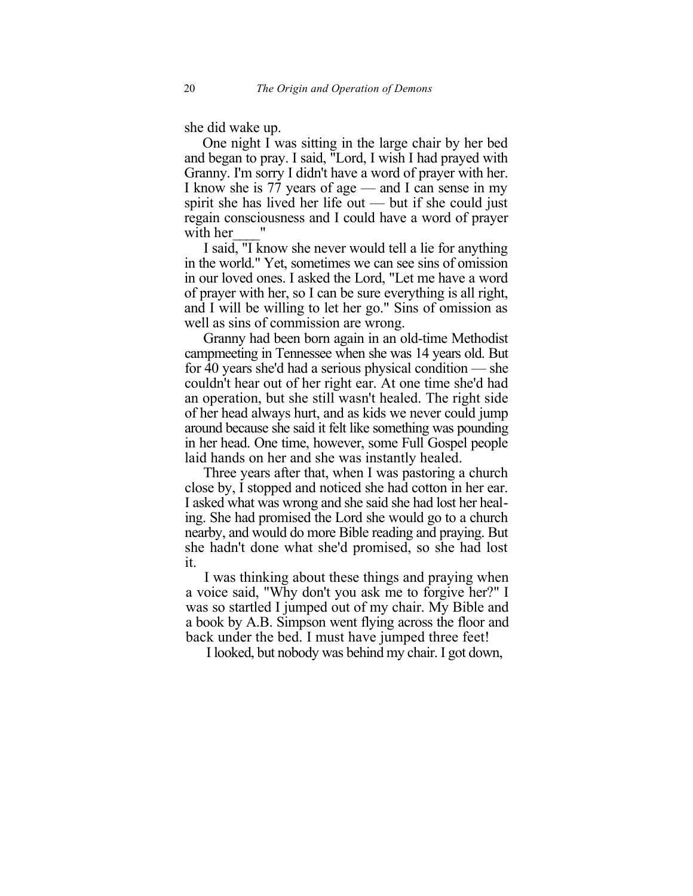she did wake up.

One night I was sitting in the large chair by her bed and began to pray. I said, "Lord, I wish I had prayed with Granny. I'm sorry I didn't have a word of prayer with her. I know she is 77 years of age — and I can sense in my spirit she has lived her life out — but if she could just regain consciousness and I could have a word of prayer with her

I said, "I know she never would tell a lie for anything in the world." Yet, sometimes we can see sins of omission in our loved ones. I asked the Lord, "Let me have a word of prayer with her, so I can be sure everything is all right, and I will be willing to let her go." Sins of omission as well as sins of commission are wrong.

Granny had been born again in an old-time Methodist campmeeting in Tennessee when she was 14 years old. But for 40 years she'd had a serious physical condition — she couldn't hear out of her right ear. At one time she'd had an operation, but she still wasn't healed. The right side of her head always hurt, and as kids we never could jump around because she said it felt like something was pounding in her head. One time, however, some Full Gospel people laid hands on her and she was instantly healed.

Three years after that, when I was pastoring a church close by, I stopped and noticed she had cotton in her ear. I asked what was wrong and she said she had lost her healing. She had promised the Lord she would go to a church nearby, and would do more Bible reading and praying. But she hadn't done what she'd promised, so she had lost  $it.$ 

I was thinking about these things and praying when a voice said, "Why don't you ask me to forgive her?" I was so startled I jumped out of my chair. My Bible and a book by A.B. Simpson went flying across the floor and back under the bed. I must have jumped three feet!

I looked, but nobody was behind my chair. I got down,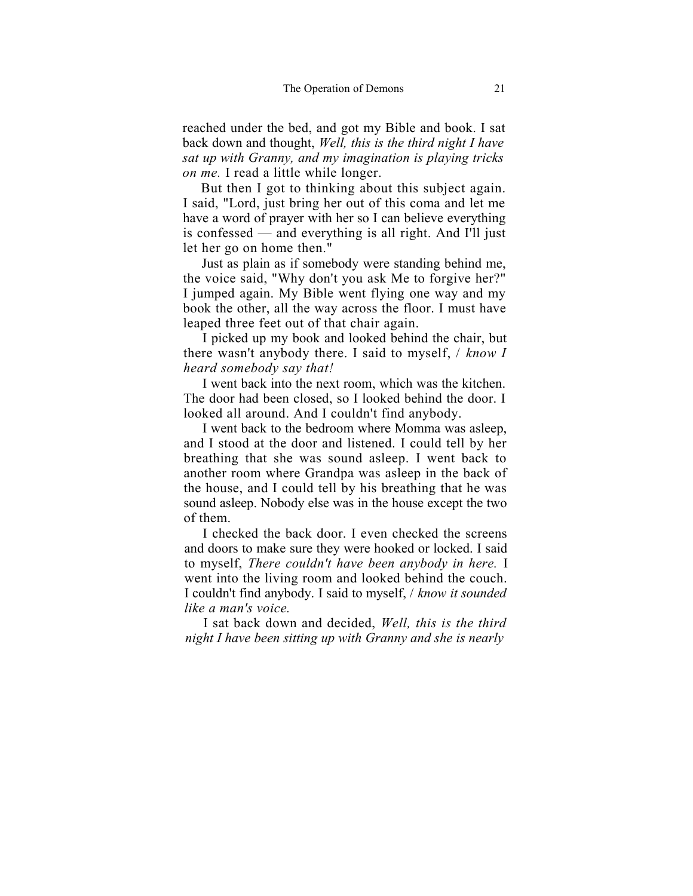reached under the bed, and got my Bible and book. I sat back down and thought, *Well, this is the third night I have sat up with Granny, and my imagination is playing tricks on me.* I read a little while longer.

But then I got to thinking about this subject again. I said, "Lord, just bring her out of this coma and let me have a word of prayer with her so I can believe everything is confessed — and everything is all right. And I'll just let her go on home then."

Just as plain as if somebody were standing behind me, the voice said, "Why don't you ask Me to forgive her?" I jumped again. My Bible went flying one way and my book the other, all the way across the floor. I must have leaped three feet out of that chair again.

I picked up my book and looked behind the chair, but there wasn't anybody there. I said to myself, / *know I heard somebody say that!*

I went back into the next room, which was the kitchen. The door had been closed, so I looked behind the door. I looked all around. And I couldn't find anybody.

I went back to the bedroom where Momma was asleep, and I stood at the door and listened. I could tell by her breathing that she was sound asleep. I went back to another room where Grandpa was asleep in the back of the house, and I could tell by his breathing that he was sound asleep. Nobody else was in the house except the two of them.

I checked the back door. I even checked the screens and doors to make sure they were hooked or locked. I said to myself, *There couldn't have been anybody in here.* I went into the living room and looked behind the couch. I couldn't find anybody. I said to myself, / *know it sounded like a man's voice.*

I sat back down and decided, *Well, this is the third night I have been sitting up with Granny and she is nearly*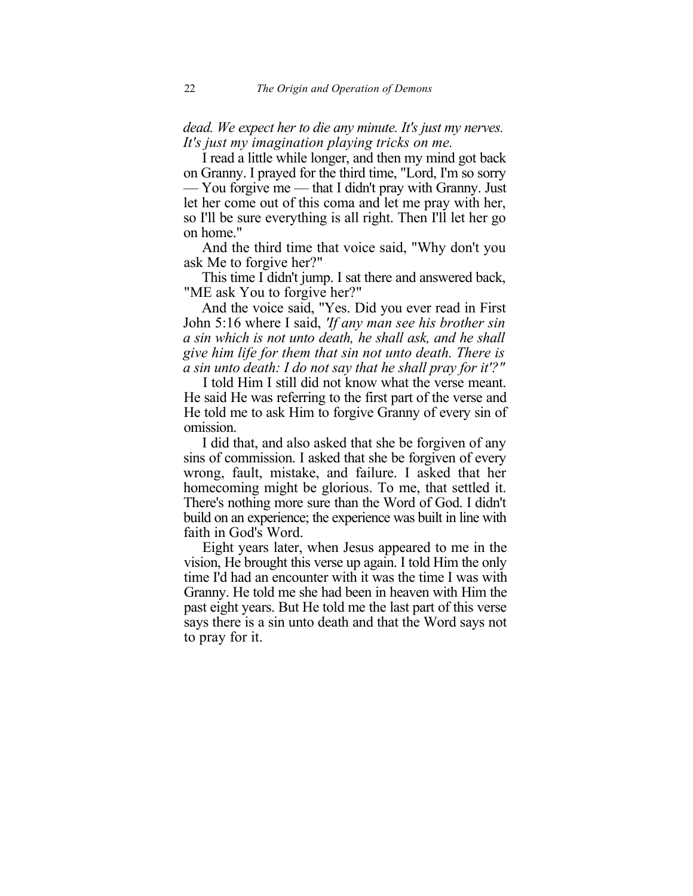*dead. We expect her to die any minute. It's just my nerves. It's just my imagination playing tricks on me.*

I read a little while longer, and then my mind got back on Granny. I prayed for the third time, "Lord, I'm so sorry — You forgive me — that I didn't pray with Granny. Just let her come out of this coma and let me pray with her, so I'll be sure everything is all right. Then I'll let her go on home."

And the third time that voice said, "Why don't you ask Me to forgive her?"

This time I didn't jump. I sat there and answered back, "ME ask You to forgive her?"

And the voice said, "Yes. Did you ever read in First John 5:16 where I said, *'If any man see his brother sin a sin which is not unto death, he shall ask, and he shall give him life for them that sin not unto death. There is a sin unto death: I do not say that he shall pray for it'?"*

I told Him I still did not know what the verse meant. He said He was referring to the first part of the verse and He told me to ask Him to forgive Granny of every sin of omission.

I did that, and also asked that she be forgiven of any sins of commission. I asked that she be forgiven of every wrong, fault, mistake, and failure. I asked that her homecoming might be glorious. To me, that settled it. There's nothing more sure than the Word of God. I didn't build on an experience; the experience was built in line with faith in God's Word.

Eight years later, when Jesus appeared to me in the vision, He brought this verse up again. I told Him the only time I'd had an encounter with it was the time I was with Granny. He told me she had been in heaven with Him the past eight years. But He told me the last part of this verse says there is a sin unto death and that the Word says not to pray for it.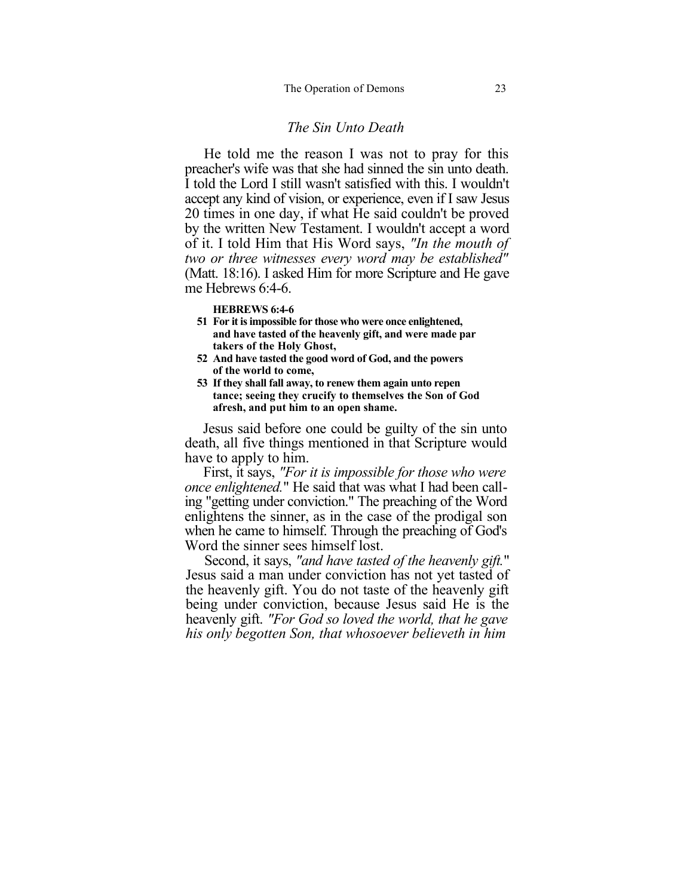#### *The Sin Unto Death*

He told me the reason I was not to pray for this preacher's wife was that she had sinned the sin unto death. I told the Lord I still wasn't satisfied with this. I wouldn't accept any kind of vision, or experience, even if I saw Jesus 20 times in one day, if what He said couldn't be proved by the written New Testament. I wouldn't accept a word of it. I told Him that His Word says, *"In the mouth of two or three witnesses every word may be established"* (Matt. 18:16). I asked Him for more Scripture and He gave me Hebrews 6:4-6.

**HEBREWS 6:4-6**

- **51 For it is impossible for those who were once enlightened, and have tasted of the heavenly gift, and were made par takers of the Holy Ghost,**
- **52 And have tasted the good word of God, and the powers of the world to come,**
- **53 If they shall fall away, to renew them again unto repen tance; seeing they crucify to themselves the Son of God afresh, and put him to an open shame.**

Jesus said before one could be guilty of the sin unto death, all five things mentioned in that Scripture would have to apply to him.

First, it says, *"For it is impossible for those who were once enlightened.*" He said that was what I had been calling "getting under conviction." The preaching of the Word enlightens the sinner, as in the case of the prodigal son when he came to himself. Through the preaching of God's Word the sinner sees himself lost.

Second, it says, *"and have tasted of the heavenly gift.*" Jesus said a man under conviction has not yet tasted of the heavenly gift. You do not taste of the heavenly gift being under conviction, because Jesus said He is the heavenly gift. *"For God so loved the world, that he gave his only begotten Son, that whosoever believeth in him*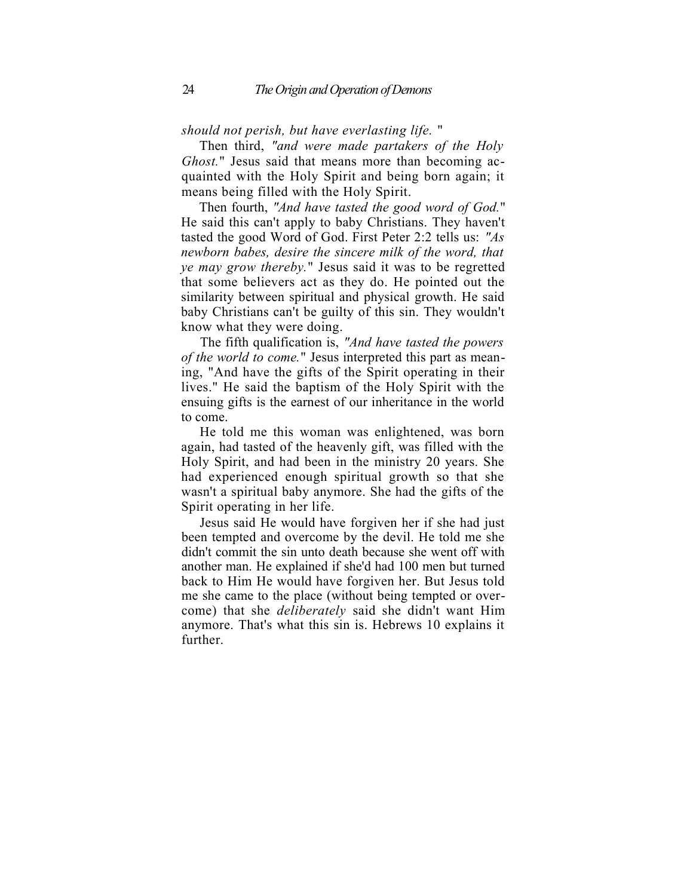*should not perish, but have everlasting life.* "

Then third, *"and were made partakers of the Holy Ghost.*" Jesus said that means more than becoming acquainted with the Holy Spirit and being born again; it means being filled with the Holy Spirit.

Then fourth, *"And have tasted the good word of God.*" He said this can't apply to baby Christians. They haven't tasted the good Word of God. First Peter 2:2 tells us: *"As newborn babes, desire the sincere milk of the word, that ye may grow thereby.*" Jesus said it was to be regretted that some believers act as they do. He pointed out the similarity between spiritual and physical growth. He said baby Christians can't be guilty of this sin. They wouldn't know what they were doing.

The fifth qualification is, *"And have tasted the powers of the world to come.*" Jesus interpreted this part as meaning, "And have the gifts of the Spirit operating in their lives." He said the baptism of the Holy Spirit with the ensuing gifts is the earnest of our inheritance in the world to come.

He told me this woman was enlightened, was born again, had tasted of the heavenly gift, was filled with the Holy Spirit, and had been in the ministry 20 years. She had experienced enough spiritual growth so that she wasn't a spiritual baby anymore. She had the gifts of the Spirit operating in her life.

Jesus said He would have forgiven her if she had just been tempted and overcome by the devil. He told me she didn't commit the sin unto death because she went off with another man. He explained if she'd had 100 men but turned back to Him He would have forgiven her. But Jesus told me she came to the place (without being tempted or overcome) that she *deliberately* said she didn't want Him anymore. That's what this sin is. Hebrews 10 explains it further.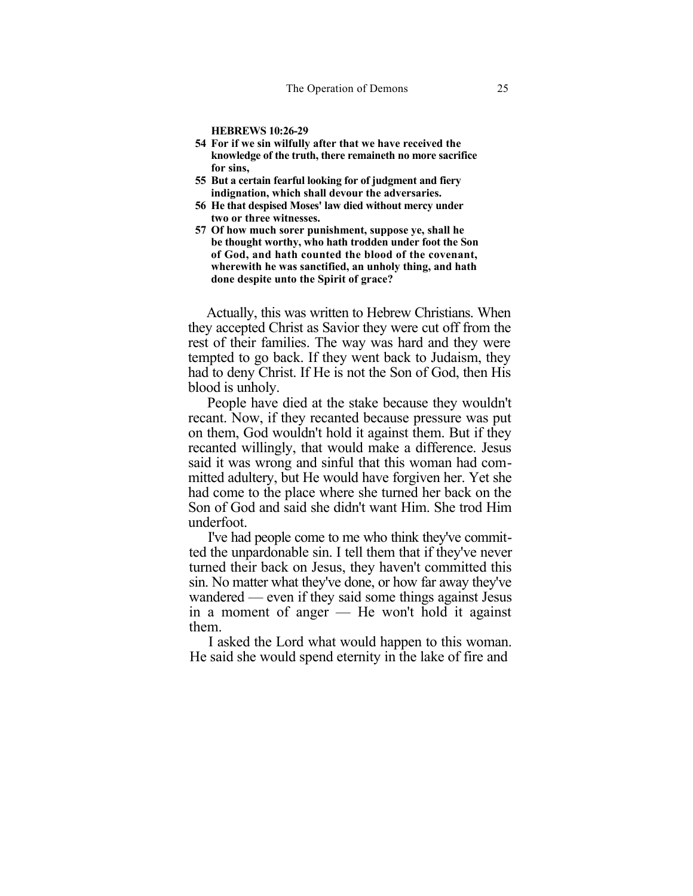**HEBREWS 10:26-29**

- **54 For if we sin wilfully after that we have received the knowledge of the truth, there remaineth no more sacrifice for sins,**
- **55 But a certain fearful looking for of judgment and fiery indignation, which shall devour the adversaries.**
- **56 He that despised Moses' law died without mercy under two or three witnesses.**
- **57 Of how much sorer punishment, suppose ye, shall he be thought worthy, who hath trodden under foot the Son of God, and hath counted the blood of the covenant, wherewith he was sanctified, an unholy thing, and hath done despite unto the Spirit of grace?**

Actually, this was written to Hebrew Christians. When they accepted Christ as Savior they were cut off from the rest of their families. The way was hard and they were tempted to go back. If they went back to Judaism, they had to deny Christ. If He is not the Son of God, then His blood is unholy.

People have died at the stake because they wouldn't recant. Now, if they recanted because pressure was put on them, God wouldn't hold it against them. But if they recanted willingly, that would make a difference. Jesus said it was wrong and sinful that this woman had committed adultery, but He would have forgiven her. Yet she had come to the place where she turned her back on the Son of God and said she didn't want Him. She trod Him underfoot.

I've had people come to me who think they've committed the unpardonable sin. I tell them that if they've never turned their back on Jesus, they haven't committed this sin. No matter what they've done, or how far away they've wandered — even if they said some things against Jesus in a moment of anger — He won't hold it against them.

I asked the Lord what would happen to this woman. He said she would spend eternity in the lake of fire and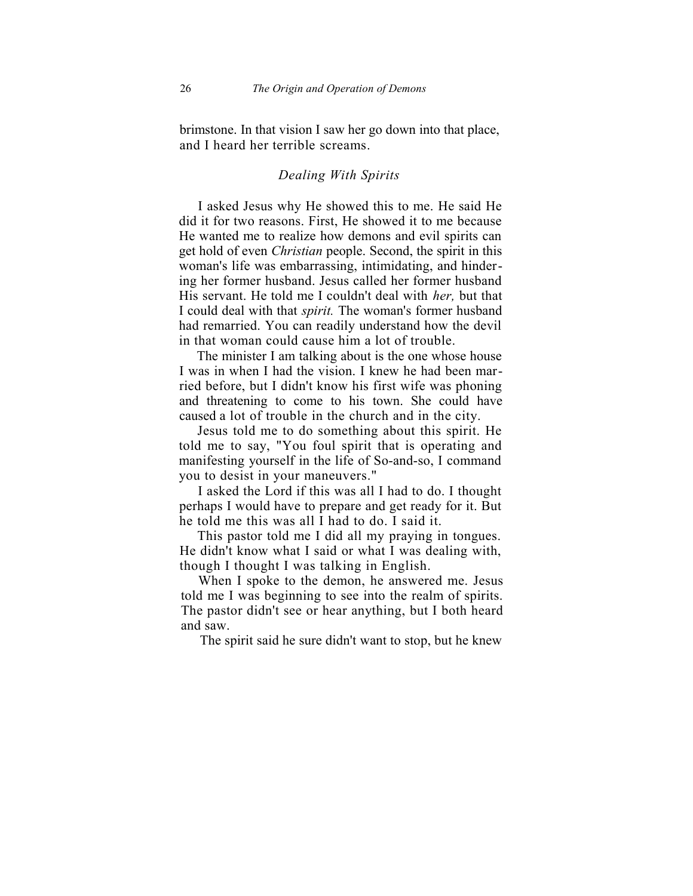brimstone. In that vision I saw her go down into that place, and I heard her terrible screams.

#### *Dealing With Spirits*

I asked Jesus why He showed this to me. He said He did it for two reasons. First, He showed it to me because He wanted me to realize how demons and evil spirits can get hold of even *Christian* people. Second, the spirit in this woman's life was embarrassing, intimidating, and hindering her former husband. Jesus called her former husband His servant. He told me I couldn't deal with *her,* but that I could deal with that *spirit.* The woman's former husband had remarried. You can readily understand how the devil in that woman could cause him a lot of trouble.

The minister I am talking about is the one whose house I was in when I had the vision. I knew he had been married before, but I didn't know his first wife was phoning and threatening to come to his town. She could have caused a lot of trouble in the church and in the city.

Jesus told me to do something about this spirit. He told me to say, "You foul spirit that is operating and manifesting yourself in the life of So-and-so, I command you to desist in your maneuvers."

I asked the Lord if this was all I had to do. I thought perhaps I would have to prepare and get ready for it. But he told me this was all I had to do. I said it.

This pastor told me I did all my praying in tongues. He didn't know what I said or what I was dealing with, though I thought I was talking in English.

When I spoke to the demon, he answered me. Jesus told me I was beginning to see into the realm of spirits. The pastor didn't see or hear anything, but I both heard and saw.

The spirit said he sure didn't want to stop, but he knew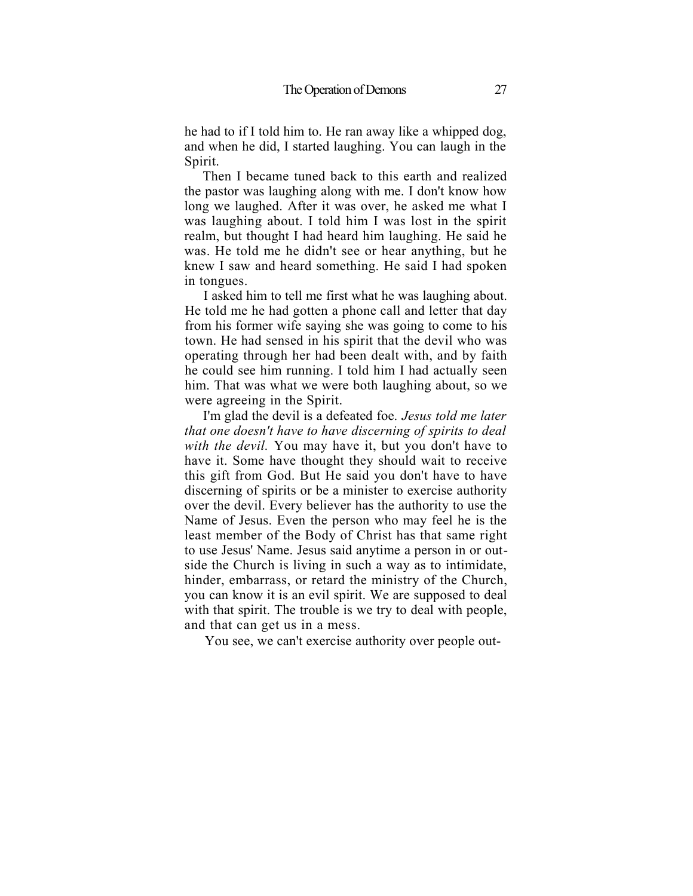he had to if I told him to. He ran away like a whipped dog, and when he did, I started laughing. You can laugh in the Spirit.

Then I became tuned back to this earth and realized the pastor was laughing along with me. I don't know how long we laughed. After it was over, he asked me what I was laughing about. I told him I was lost in the spirit realm, but thought I had heard him laughing. He said he was. He told me he didn't see or hear anything, but he knew I saw and heard something. He said I had spoken in tongues.

I asked him to tell me first what he was laughing about. He told me he had gotten a phone call and letter that day from his former wife saying she was going to come to his town. He had sensed in his spirit that the devil who was operating through her had been dealt with, and by faith he could see him running. I told him I had actually seen him. That was what we were both laughing about, so we were agreeing in the Spirit.

I'm glad the devil is a defeated foe. *Jesus told me later that one doesn't have to have discerning of spirits to deal with the devil.* You may have it, but you don't have to have it. Some have thought they should wait to receive this gift from God. But He said you don't have to have discerning of spirits or be a minister to exercise authority over the devil. Every believer has the authority to use the Name of Jesus. Even the person who may feel he is the least member of the Body of Christ has that same right to use Jesus' Name. Jesus said anytime a person in or outside the Church is living in such a way as to intimidate, hinder, embarrass, or retard the ministry of the Church, you can know it is an evil spirit. We are supposed to deal with that spirit. The trouble is we try to deal with people, and that can get us in a mess.

You see, we can't exercise authority over people out-